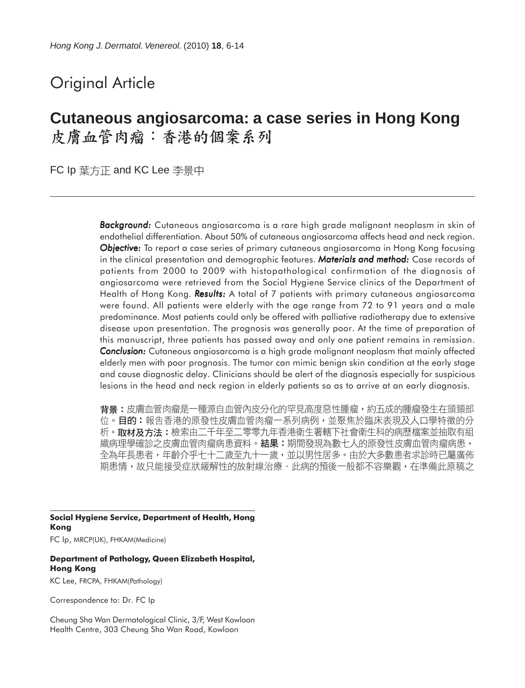# Original Article

# **Cutaneous angiosarcoma: a case series in Hong Kong** 皮膚血管肉瘤:香港的個案系列

FC Ip 葉方正 and KC Lee 李景中

*Background: Background:* Cutaneous angiosarcoma is a rare high grade malignant neoplasm in skin of endothelial differentiation. About 50% of cutaneous angiosarcoma affects head and neck region. *Objective: Objective:* To report a case series of primary cutaneous angiosarcoma in Hong Kong focusing in the clinical presentation and demographic features. *Materials and method:* Case records of patients from 2000 to 2009 with histopathological confirmation of the diagnosis of angiosarcoma were retrieved from the Social Hygiene Service clinics of the Department of Health of Hong Kong. **Results:** A total of 7 patients with primary cutaneous angiosarcoma were found. All patients were elderly with the age range from 72 to 91 years and a male predominance. Most patients could only be offered with palliative radiotherapy due to extensive disease upon presentation. The prognosis was generally poor. At the time of preparation of this manuscript, three patients has passed away and only one patient remains in remission. **Conclusion:** Cutaneous angiosarcoma is a high grade malignant neoplasm that mainly affected elderly men with poor prognosis. The tumor can mimic benign skin condition at the early stage and cause diagnostic delay. Clinicians should be alert of the diagnosis especially for suspicious lesions in the head and neck region in elderly patients so as to arrive at an early diagnosis.

**背景:**皮膚血管肉瘤是一種源自血管內皮分化的罕見高度惡性腫瘤,約五成的腫瘤發生在頭頸部 位。目的:報告香港的原發性皮膚血管肉瘤一系列病例,並聚焦於臨床表現及人口學特徵的分 析。取材及方法:檢索由二千年至二零零九年香港衛生署轄下社會衛生科的病歷檔案並抽取有組 織病理學確診之皮膚血管肉瘤病患資料。結果:期間發現為數七人的原發性皮膚血管肉瘤病患, 全為年長患者,年齡介乎七十二歲至九十一歲,並以男性居多。由於大多數患者求診時已屬廣佈 期患情,故只能接受症狀緩解性的放射線治療·此病的預後一般都不容樂觀,在準備此原稿之

**Social Hygiene Service, Department of Health, Hong Kong** FC Ip, MRCP(UK), FHKAM(Medicine)

#### **Department of Pathology, Queen Elizabeth Hospital, Hong Kong**

KC Lee, FRCPA, FHKAM(Pathology)

Correspondence to: Dr. FC Ip

Cheung Sha Wan Dermatological Clinic, 3/F, West Kowloon Health Centre, 303 Cheung Sha Wan Road, Kowloon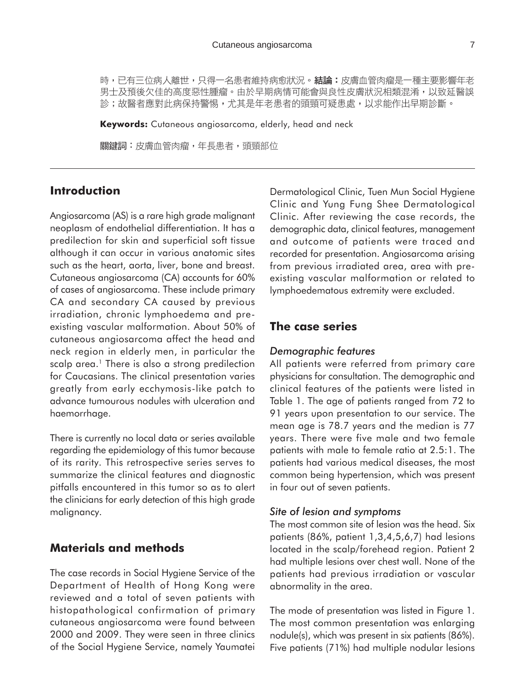時,已有三位病人離世,只得一名患者維持病愈狀況。結論:皮膚血管肉瘤是一種主要影響年老 男士及預後欠佳的高度惡性腫瘤。由於早期病情可能會與良性皮膚狀況相類混淆,以致延醫誤 診;故醫者應對此病保持警惕,尤其是年老患者的頭頸可疑患處,以求能作出早期診斷。

**Keywords:** Cutaneous angiosarcoma, elderly, head and neck

關鍵詞:皮膚血管肉瘤,年長患者,頭頸部位

# **Introduction**

Angiosarcoma (AS) is a rare high grade malignant neoplasm of endothelial differentiation. It has a predilection for skin and superficial soft tissue although it can occur in various anatomic sites such as the heart, aorta, liver, bone and breast. Cutaneous angiosarcoma (CA) accounts for 60% of cases of angiosarcoma. These include primary CA and secondary CA caused by previous irradiation, chronic lymphoedema and preexisting vascular malformation. About 50% of cutaneous angiosarcoma affect the head and neck region in elderly men, in particular the scalp area.<sup>1</sup> There is also a strong predilection for Caucasians. The clinical presentation varies greatly from early ecchymosis-like patch to advance tumourous nodules with ulceration and haemorrhage.

There is currently no local data or series available regarding the epidemiology of this tumor because of its rarity. This retrospective series serves to summarize the clinical features and diagnostic pitfalls encountered in this tumor so as to alert the clinicians for early detection of this high grade malignancy.

# **Materials and methods**

The case records in Social Hygiene Service of the Department of Health of Hong Kong were reviewed and a total of seven patients with histopathological confirmation of primary cutaneous angiosarcoma were found between 2000 and 2009. They were seen in three clinics of the Social Hygiene Service, namely Yaumatei

Dermatological Clinic, Tuen Mun Social Hygiene Clinic and Yung Fung Shee Dermatological Clinic. After reviewing the case records, the demographic data, clinical features, management and outcome of patients were traced and recorded for presentation. Angiosarcoma arising from previous irradiated area, area with preexisting vascular malformation or related to lymphoedematous extremity were excluded.

## **The case series**

#### *Demographic features*

All patients were referred from primary care physicians for consultation. The demographic and clinical features of the patients were listed in Table 1. The age of patients ranged from 72 to 91 years upon presentation to our service. The mean age is 78.7 years and the median is 77 years. There were five male and two female patients with male to female ratio at 2.5:1. The patients had various medical diseases, the most common being hypertension, which was present in four out of seven patients.

#### *Site of lesion and symptoms*

The most common site of lesion was the head. Six patients (86%, patient 1,3,4,5,6,7) had lesions located in the scalp/forehead region. Patient 2 had multiple lesions over chest wall. None of the patients had previous irradiation or vascular abnormality in the area.

The mode of presentation was listed in Figure 1. The most common presentation was enlarging nodule(s), which was present in six patients (86%). Five patients (71%) had multiple nodular lesions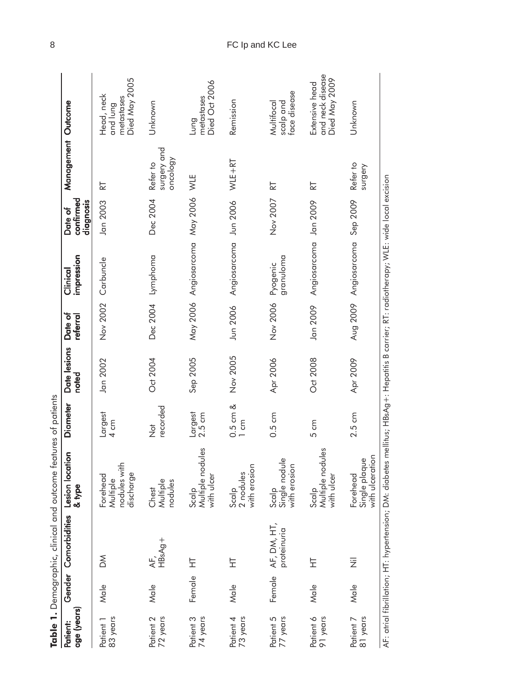|                         |        |                            | Table 1. Demographic, clinical and outcome features of patients                                                                           |                                 |                       |                     |                        |                                   |                                     |                                                       |
|-------------------------|--------|----------------------------|-------------------------------------------------------------------------------------------------------------------------------------------|---------------------------------|-----------------------|---------------------|------------------------|-----------------------------------|-------------------------------------|-------------------------------------------------------|
| age (years)<br>Patient: |        | Gender Comorbidities       | tion<br>Lesion loca<br>& type                                                                                                             | Diameter                        | Date lesions<br>hoted | Date of<br>referral | impression<br>Clinical | contirmed<br>diagnosis<br>Date of | Management Outcome                  |                                                       |
| 83 years<br>Patient 1   | Male   | $\mathbb{X}$               | nodules with<br>discharge<br>Forehead<br>Multiple                                                                                         | Largest<br>$4 \text{ cm}$       | Jan 2002              | Nov 2002            | Carbuncle              | Jan 2003                          | 눖                                   | Died May 2005<br>Head, neck<br>metastases<br>and lung |
| 72 years<br>Patient 2   | Male   | AF,<br>HBsAg+              | Multiple<br>nodules<br>Chest                                                                                                              | recorded<br>$\frac{1}{2}$       | Oct 2004              |                     | Dec 2004 Lymphoma      | Dec 2004                          | surgery and<br>oncology<br>Refer to | Unknown                                               |
| 74 years<br>Patient 3   | Female | 보                          | Multiple nodules<br>with ulcer<br>Scalp                                                                                                   | Largest<br>$2.5 \text{ cm}$     | Sep 2005              | May 2006            | Angiosarcoma           | May 2006                          | WLE                                 | Died Oct 2006<br>metastases<br>Lung                   |
| 73 years<br>Patient 4   | Male   | 보                          | with erosion<br>2 nodules<br>Scalp                                                                                                        | $0.5$ cm $\&$<br>$1 \text{ cm}$ | Nov 2005              | Jun 2006            | Angiosarcoma           | Jun 2006                          | WLE+RT                              | Remission                                             |
| 77 years<br>Patient 5   | Female | AF, DM, HT,<br>proteinuria | Single nodule<br>with erosion<br>Scalp                                                                                                    | 0.5 cm                          | Apr 2006              | Nov 2006            | granuloma<br>Pyogenic  | Nov 2007                          | 눈                                   | face disease<br>Multifocal<br>scalp and               |
| Patient 6<br>91 years   | Male   | 보                          | Multiple nodules<br>with ulcer<br>Scalp                                                                                                   | 5 cm                            | Oct 2008              | Jan 2009            | Angiosarcoma Jan 2009  |                                   | 눈                                   | and neck disease<br>Died May 2009<br>Extensive head   |
| Patient 7<br>81 years   | Male   | 运                          | Single plaque<br>with ulceration<br>Forehead                                                                                              | $2.5 \text{ cm}$                | Apr 2009              | Aug 2009            | Angiosarcoma           | Sep 2009                          | Refer to<br>surgery                 | Unknown                                               |
|                         |        |                            | AF: atrial fibrillation; HT: hypertension; DM: diabetes mellitus; HBsAg+: Hepatitis B carrier; RT: radiatherapy; WLE: wide local excision |                                 |                       |                     |                        |                                   |                                     |                                                       |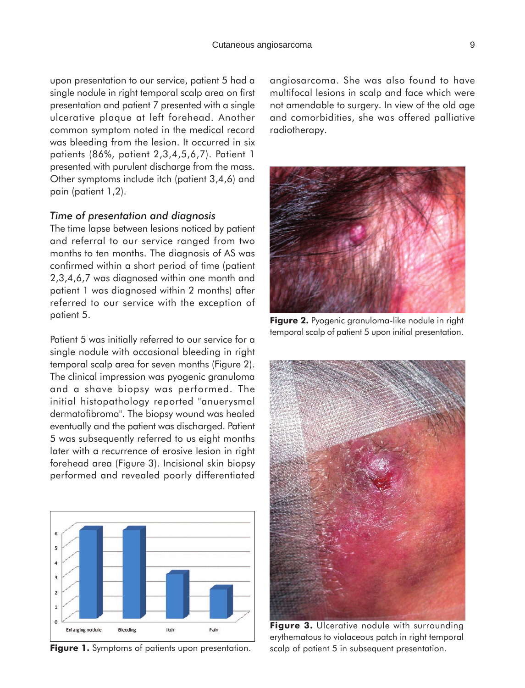upon presentation to our service, patient 5 had a single nodule in right temporal scalp area on first presentation and patient 7 presented with a single ulcerative plaque at left forehead. Another common symptom noted in the medical record was bleeding from the lesion. It occurred in six patients (86%, patient 2,3,4,5,6,7). Patient 1 presented with purulent discharge from the mass. Other symptoms include itch (patient 3,4,6) and pain (patient 1,2).

#### *Time of presentation and diagnosis*

The time lapse between lesions noticed by patient and referral to our service ranged from two months to ten months. The diagnosis of AS was confirmed within a short period of time (patient 2,3,4,6,7 was diagnosed within one month and patient 1 was diagnosed within 2 months) after referred to our service with the exception of patient 5.

Patient 5 was initially referred to our service for a single nodule with occasional bleeding in right temporal scalp area for seven months (Figure 2). The clinical impression was pyogenic granuloma and a shave biopsy was performed. The initial histopathology reported "anuerysmal dermatofibroma". The biopsy wound was healed eventually and the patient was discharged. Patient 5 was subsequently referred to us eight months later with a recurrence of erosive lesion in right forehead area (Figure 3). Incisional skin biopsy performed and revealed poorly differentiated



angiosarcoma. She was also found to have multifocal lesions in scalp and face which were not amendable to surgery. In view of the old age and comorbidities, she was offered palliative radiotherapy.



**Figure 2.** Pyogenic granuloma-like nodule in right temporal scalp of patient 5 upon initial presentation.



**Figure 3.** Ulcerative nodule with surrounding erythematous to violaceous patch in right temporal Figure 1. Symptoms of patients upon presentation. scalp of patient 5 in subsequent presentation.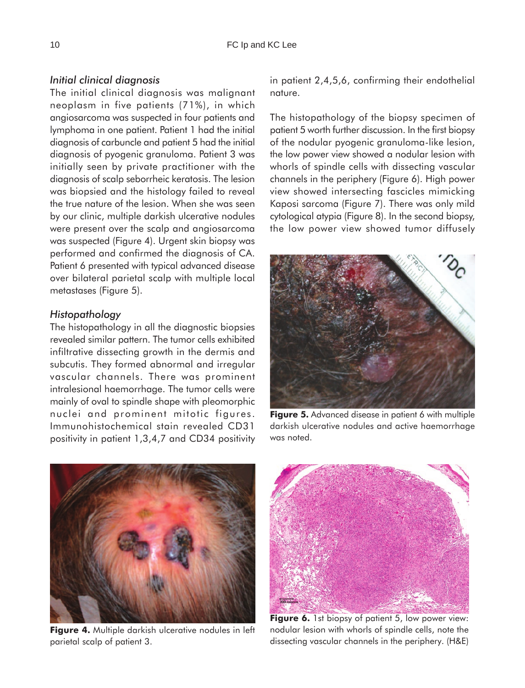#### *Initial clinical diagnosis*

The initial clinical diagnosis was malignant neoplasm in five patients (71%), in which angiosarcoma was suspected in four patients and lymphoma in one patient. Patient 1 had the initial diagnosis of carbuncle and patient 5 had the initial diagnosis of pyogenic granuloma. Patient 3 was initially seen by private practitioner with the diagnosis of scalp seborrheic keratosis. The lesion was biopsied and the histology failed to reveal the true nature of the lesion. When she was seen by our clinic, multiple darkish ulcerative nodules were present over the scalp and angiosarcoma was suspected (Figure 4). Urgent skin biopsy was performed and confirmed the diagnosis of CA. Patient 6 presented with typical advanced disease over bilateral parietal scalp with multiple local metastases (Figure 5).

#### *Histopathology*

The histopathology in all the diagnostic biopsies revealed similar pattern. The tumor cells exhibited infiltrative dissecting growth in the dermis and subcutis. They formed abnormal and irregular vascular channels. There was prominent intralesional haemorrhage. The tumor cells were mainly of oval to spindle shape with pleomorphic nuclei and prominent mitotic figures. Immunohistochemical stain revealed CD31 positivity in patient 1,3,4,7 and CD34 positivity in patient 2,4,5,6, confirming their endothelial nature.

The histopathology of the biopsy specimen of patient 5 worth further discussion. In the first biopsy of the nodular pyogenic granuloma-like lesion, the low power view showed a nodular lesion with whorls of spindle cells with dissecting vascular channels in the periphery (Figure 6). High power view showed intersecting fascicles mimicking Kaposi sarcoma (Figure 7). There was only mild cytological atypia (Figure 8). In the second biopsy, the low power view showed tumor diffusely



**Figure 5.** Advanced disease in patient 6 with multiple darkish ulcerative nodules and active haemorrhage was noted.



**Figure 4.** Multiple darkish ulcerative nodules in left parietal scalp of patient 3.



Figure 6. 1st biopsy of patient 5, low power view: nodular lesion with whorls of spindle cells, note the dissecting vascular channels in the periphery. (H&E)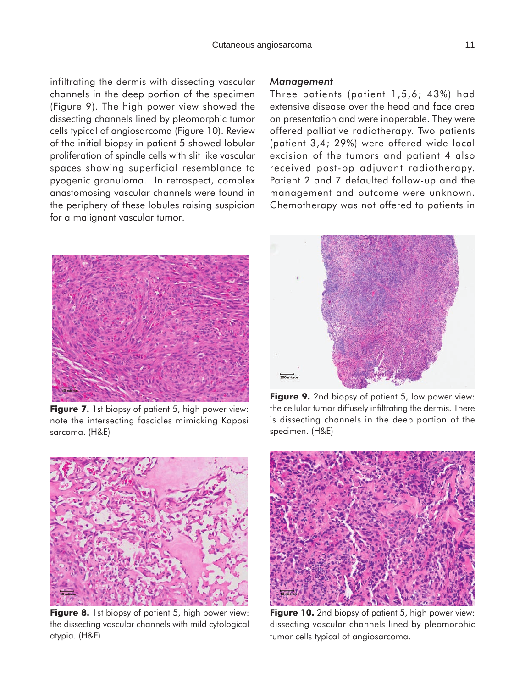infiltrating the dermis with dissecting vascular channels in the deep portion of the specimen (Figure 9). The high power view showed the dissecting channels lined by pleomorphic tumor cells typical of angiosarcoma (Figure 10). Review of the initial biopsy in patient 5 showed lobular proliferation of spindle cells with slit like vascular spaces showing superficial resemblance to pyogenic granuloma. In retrospect, complex anastomosing vascular channels were found in the periphery of these lobules raising suspicion for a malignant vascular tumor.

**Figure 7.** 1st biopsy of patient 5, high power view: note the intersecting fascicles mimicking Kaposi sarcoma. (H&E)



Three patients (patient 1,5,6; 43%) had extensive disease over the head and face area on presentation and were inoperable. They were offered palliative radiotherapy. Two patients (patient 3,4; 29%) were offered wide local excision of the tumors and patient 4 also received post-op adjuvant radiotherapy. Patient 2 and 7 defaulted follow-up and the management and outcome were unknown. Chemotherapy was not offered to patients in



**Figure 9.** 2nd biopsy of patient 5, low power view: the cellular tumor diffusely infiltrating the dermis. There is dissecting channels in the deep portion of the specimen. (H&E)



the dissecting vascular channels with mild cytological atypia. (H&E)



**Figure 10.** 2nd biopsy of patient 5, high power view: dissecting vascular channels lined by pleomorphic tumor cells typical of angiosarcoma.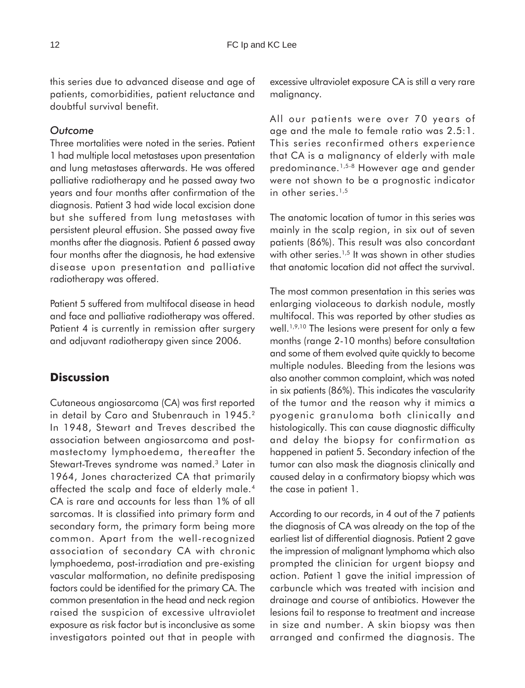this series due to advanced disease and age of patients, comorbidities, patient reluctance and doubtful survival benefit.

### *Outcome*

Three mortalities were noted in the series. Patient 1 had multiple local metastases upon presentation and lung metastases afterwards. He was offered palliative radiotherapy and he passed away two years and four months after confirmation of the diagnosis. Patient 3 had wide local excision done but she suffered from lung metastases with persistent pleural effusion. She passed away five months after the diagnosis. Patient 6 passed away four months after the diagnosis, he had extensive disease upon presentation and palliative radiotherapy was offered.

Patient 5 suffered from multifocal disease in head and face and palliative radiotherapy was offered. Patient 4 is currently in remission after surgery and adjuvant radiotherapy given since 2006.

# **Discussion**

Cutaneous angiosarcoma (CA) was first reported in detail by Caro and Stubenrauch in 1945.<sup>2</sup> In 1948, Stewart and Treves described the association between angiosarcoma and postmastectomy lymphoedema, thereafter the Stewart-Treves syndrome was named.<sup>3</sup> Later in 1964, Jones characterized CA that primarily affected the scalp and face of elderly male.<sup>4</sup> CA is rare and accounts for less than 1% of all sarcomas. It is classified into primary form and secondary form, the primary form being more common. Apart from the well-recognized association of secondary CA with chronic lymphoedema, post-irradiation and pre-existing vascular malformation, no definite predisposing factors could be identified for the primary CA. The common presentation in the head and neck region raised the suspicion of excessive ultraviolet exposure as risk factor but is inconclusive as some investigators pointed out that in people with excessive ultraviolet exposure CA is still a very rare malignancy.

All our patients were over 70 years of age and the male to female ratio was 2.5:1. This series reconfirmed others experience that CA is a malignancy of elderly with male predominance.1,5-8 However age and gender were not shown to be a prognostic indicator in other series.<sup>1,5</sup>

The anatomic location of tumor in this series was mainly in the scalp region, in six out of seven patients (86%). This result was also concordant with other series.<sup>1,5</sup> It was shown in other studies that anatomic location did not affect the survival.

The most common presentation in this series was enlarging violaceous to darkish nodule, mostly multifocal. This was reported by other studies as well.<sup>1,9,10</sup> The lesions were present for only a few months (range 2-10 months) before consultation and some of them evolved quite quickly to become multiple nodules. Bleeding from the lesions was also another common complaint, which was noted in six patients (86%). This indicates the vascularity of the tumor and the reason why it mimics a pyogenic granuloma both clinically and histologically. This can cause diagnostic difficulty and delay the biopsy for confirmation as happened in patient 5. Secondary infection of the tumor can also mask the diagnosis clinically and caused delay in a confirmatory biopsy which was the case in patient 1.

According to our records, in 4 out of the 7 patients the diagnosis of CA was already on the top of the earliest list of differential diagnosis. Patient 2 gave the impression of malignant lymphoma which also prompted the clinician for urgent biopsy and action. Patient 1 gave the initial impression of carbuncle which was treated with incision and drainage and course of antibiotics. However the lesions fail to response to treatment and increase in size and number. A skin biopsy was then arranged and confirmed the diagnosis. The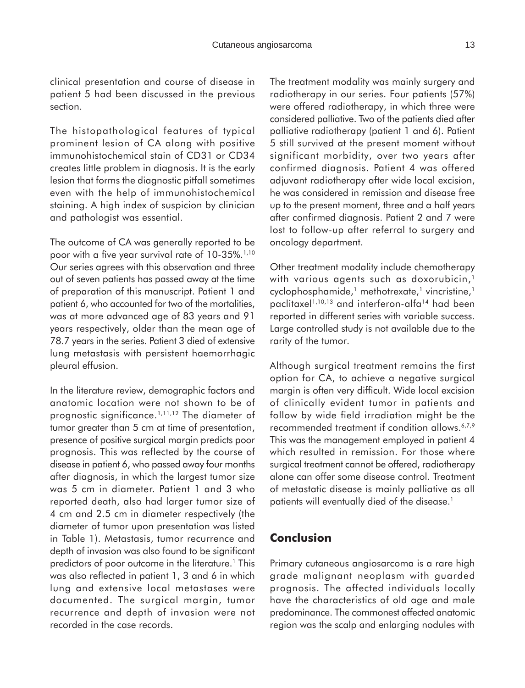clinical presentation and course of disease in patient 5 had been discussed in the previous section.

The histopathological features of typical prominent lesion of CA along with positive immunohistochemical stain of CD31 or CD34 creates little problem in diagnosis. It is the early lesion that forms the diagnostic pitfall sometimes even with the help of immunohistochemical staining. A high index of suspicion by clinician and pathologist was essential.

The outcome of CA was generally reported to be poor with a five year survival rate of 10-35%.<sup>1,10</sup> Our series agrees with this observation and three out of seven patients has passed away at the time of preparation of this manuscript. Patient 1 and patient 6, who accounted for two of the mortalities, was at more advanced age of 83 years and 91 years respectively, older than the mean age of 78.7 years in the series. Patient 3 died of extensive lung metastasis with persistent haemorrhagic pleural effusion.

In the literature review, demographic factors and anatomic location were not shown to be of prognostic significance.1,11,12 The diameter of tumor greater than 5 cm at time of presentation, presence of positive surgical margin predicts poor prognosis. This was reflected by the course of disease in patient 6, who passed away four months after diagnosis, in which the largest tumor size was 5 cm in diameter. Patient 1 and 3 who reported death, also had larger tumor size of 4 cm and 2.5 cm in diameter respectively (the diameter of tumor upon presentation was listed in Table 1). Metastasis, tumor recurrence and depth of invasion was also found to be significant predictors of poor outcome in the literature.<sup>1</sup> This was also reflected in patient 1, 3 and 6 in which lung and extensive local metastases were documented. The surgical margin, tumor recurrence and depth of invasion were not recorded in the case records.

The treatment modality was mainly surgery and radiotherapy in our series. Four patients (57%) were offered radiotherapy, in which three were considered palliative. Two of the patients died after palliative radiotherapy (patient 1 and 6). Patient 5 still survived at the present moment without significant morbidity, over two years after confirmed diagnosis. Patient 4 was offered adjuvant radiotherapy after wide local excision, he was considered in remission and disease free up to the present moment, three and a half years after confirmed diagnosis. Patient 2 and 7 were lost to follow-up after referral to surgery and oncology department.

Other treatment modality include chemotherapy with various agents such as doxorubicin,<sup>1</sup> cyclophosphamide,<sup>1</sup> methotrexate,<sup>1</sup> vincristine,<sup>1</sup> paclitaxel<sup>1,10,13</sup> and interferon-alfa<sup>14</sup> had been reported in different series with variable success. Large controlled study is not available due to the rarity of the tumor.

Although surgical treatment remains the first option for CA, to achieve a negative surgical margin is often very difficult. Wide local excision of clinically evident tumor in patients and follow by wide field irradiation might be the recommended treatment if condition allows.<sup>6,7,9</sup> This was the management employed in patient 4 which resulted in remission. For those where surgical treatment cannot be offered, radiotherapy alone can offer some disease control. Treatment of metastatic disease is mainly palliative as all patients will eventually died of the disease.<sup>1</sup>

# **Conclusion**

Primary cutaneous angiosarcoma is a rare high grade malignant neoplasm with guarded prognosis. The affected individuals locally have the characteristics of old age and male predominance. The commonest affected anatomic region was the scalp and enlarging nodules with